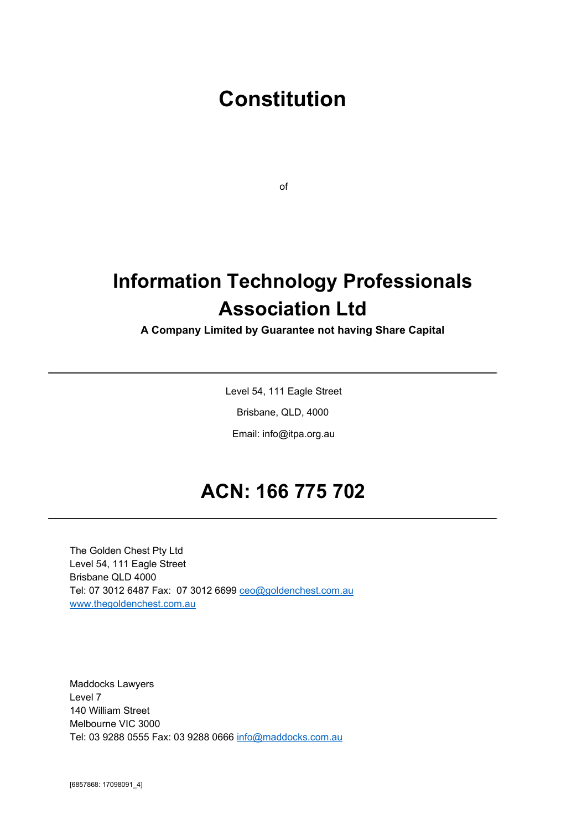# **Constitution**

of

# **Information Technology Professionals Association Ltd**

## **A Company Limited by Guarantee not having Share Capital**

Level 54, 111 Eagle Street

Brisbane, QLD, 4000

Email: info@itpa.org.au

# **ACN: 166 775 702**

The Golden Chest Pty Ltd Level 54, 111 Eagle Street Brisbane QLD 4000 Tel: 07 3012 6487 Fax: 07 3012 6699 [ceo@goldenchest.com.au](mailto:ceo@goldenchest.com.au) [www.thegoldenchest.com.au](http://www.thegoldenchest.com.au/)

Maddocks Lawyers Level 7 140 William Street Melbourne VIC 3000 Tel: 03 9288 0555 Fax: 03 9288 0666 [info@maddocks.com.au](mailto:info@maddocks.com.au)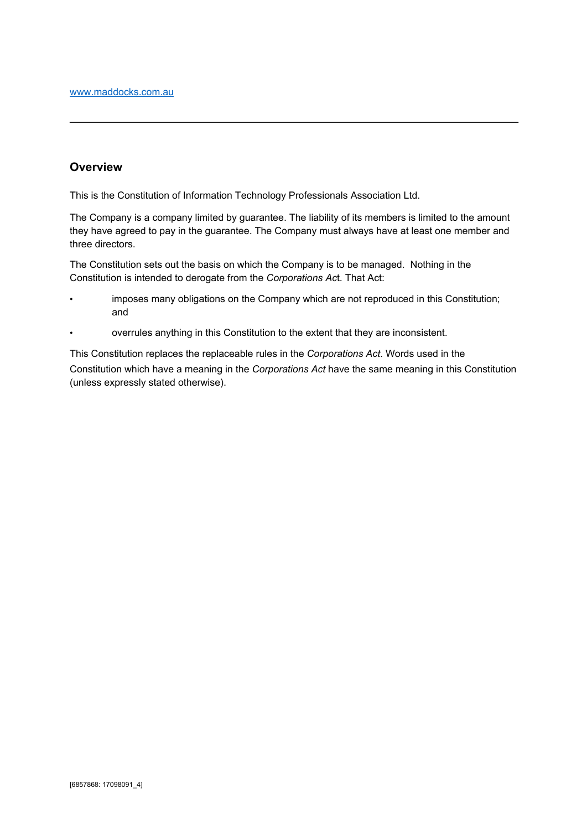## **Overview**

This is the Constitution of Information Technology Professionals Association Ltd.

The Company is a company limited by guarantee. The liability of its members is limited to the amount they have agreed to pay in the guarantee. The Company must always have at least one member and three directors.

The Constitution sets out the basis on which the Company is to be managed. Nothing in the Constitution is intended to derogate from the *Corporations Ac*t. That Act:

- imposes many obligations on the Company which are not reproduced in this Constitution; and
- overrules anything in this Constitution to the extent that they are inconsistent.

This Constitution replaces the replaceable rules in the *Corporations Act*. Words used in the Constitution which have a meaning in the *Corporations Act* have the same meaning in this Constitution (unless expressly stated otherwise).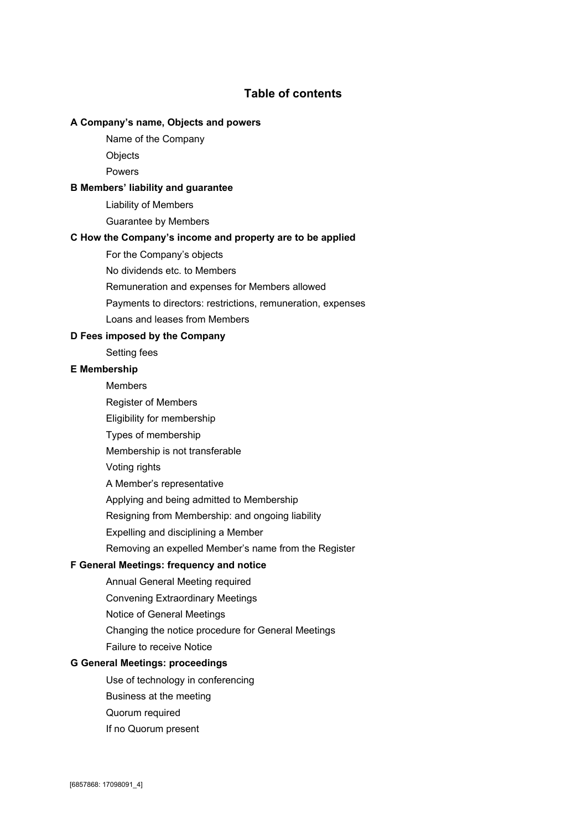## **Table of contents**

#### **A[Company's](#page-4-0)name,Objectsandpowers**

- Name of the [Company](#page-4-1)
- **[Objects](#page-4-2)**

[Powers](#page-5-0)

#### **BMembers'liabilityand[guarantee](#page-5-1)**

Liability of [Members](#page-5-2)

[Guarantee](#page-5-3) by Members

#### **CHowthe[Company's](#page-5-4)incomeandpropertyaretobeapplied**

For the [Company's](#page-5-5) objects

No [dividends](#page-6-0) etc. to Members

[Remuneration](#page-6-1) and expenses for Members allowed

Payments to directors: restrictions, [remuneration,](#page-6-2) expenses

Loans and leases from [Members](#page-6-3)

#### **DFeesimposedbythe[Company](#page-6-4)**

[Setting](#page-6-5) fees

#### **E[Membership](#page-7-0)**

[Members](#page-7-1)

- Register of [Members](#page-7-2)
- Eligibility for [membership](#page-7-3)
- Types of [membership](#page-7-4)
- [Membership](#page-7-5) is not transferable
- [Voting](#page-7-6) rights
- A Member's [representative](#page-8-0)
- Applying and being admitted to [Membership](#page-8-1)
- Resigning from [Membership:](#page-9-0) and ongoing liability
- Expelling and [disciplining](#page-9-1) a Member
- [Removing](#page-9-2) an expelled Member's name from the Register

## **FGeneralMeetings:[frequency](#page-10-0)andnotice**

- Annual General Meeting [required](#page-10-1)
- Convening [Extraordinary](#page-10-2) Meetings
- Notice of General [Meetings](#page-10-3)
- Changing the notice [procedure](#page-10-4) for General Meetings
- Failure to [receive](#page-11-0) Notice

#### **GGeneralMeetings:[proceedings](#page-11-1)**

- Use of technology in [conferencing](#page-11-2)
- [Business](#page-11-3) at the meeting
- Quorum [required](#page-11-4)
- If no [Quorum](#page-11-5) present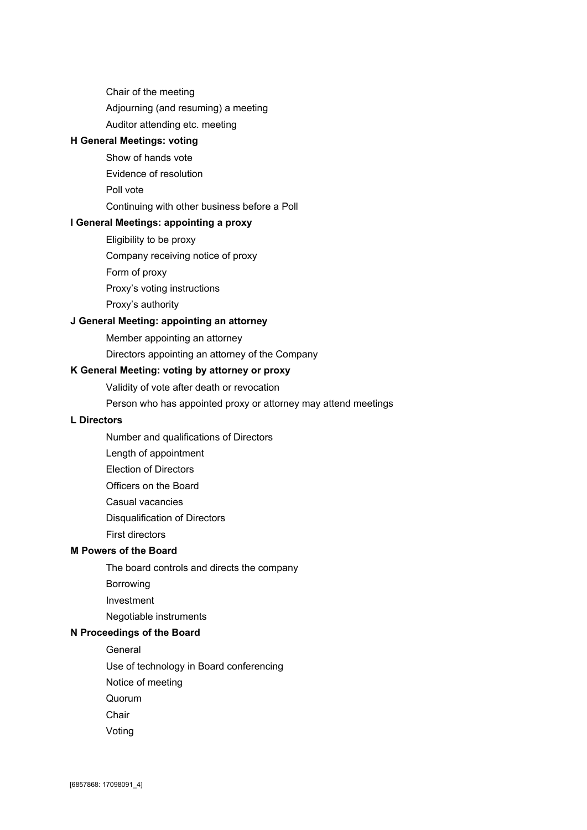Chair of the [meeting](#page-12-0)

[Adjourning](#page-12-1) (and resuming) a meeting

Auditor [attending](#page-12-2) etc. meeting

## **HGeneral[Meetings:](#page-13-0)voting**

- Show of [hands](#page-13-1) vote
- Evidence of [resolution](#page-13-2)
- Poll [vote](#page-13-3)

#### [Continuing](#page-13-4) with other business before a Poll

#### **IGeneralMeetings:[appointing](#page-13-5)aproxy**

- [Eligibility](#page-13-6) to be proxy
- [Company](#page-14-0) receiving notice of proxy
- Form of [proxy](#page-14-1)
- Proxy's voting [instructions](#page-14-2)
- Proxy's [authority](#page-14-3)

#### **JGeneralMeeting:[appointing](#page-15-0)anattorney**

- Member [appointing](#page-15-1) an attorney
- Directors [appointing](#page-15-2) an attorney of the Company

#### **KGeneral[Meeting:](#page-15-3)votingbyattorneyorproxy**

- Validity of vote after death or [revocation](#page-15-4)
- Person who has [appointed](#page-15-5) proxy or attorney may attend meetings

## **L[Directors](#page-16-0)**

- Number and [qualifications](#page-16-1) of Directors
- Length of [appointment](#page-16-2)
- Election of [Directors](#page-16-3)
- [Officers](#page-17-0) on the Board
- Casual [vacancies](#page-17-1)
- [Disqualification](#page-17-2) of Directors
- First [directors](#page-17-3)

#### **M[Powers](#page-17-4)oftheBoard**

- The board controls and directs the [company](#page-17-5)
- [Borrowing](#page-18-0)
- [Investment](#page-18-1)

Negotiable [instruments](#page-18-2)

#### **N[Proceedings](#page-18-3)oftheBoard**

[General](#page-18-4)

Use of technology in Board [conferencing](#page-18-5)

- Notice of [meeting](#page-18-6)
- [Quorum](#page-19-0)
- **[Chair](#page-19-1)**
- [Voting](#page-19-2)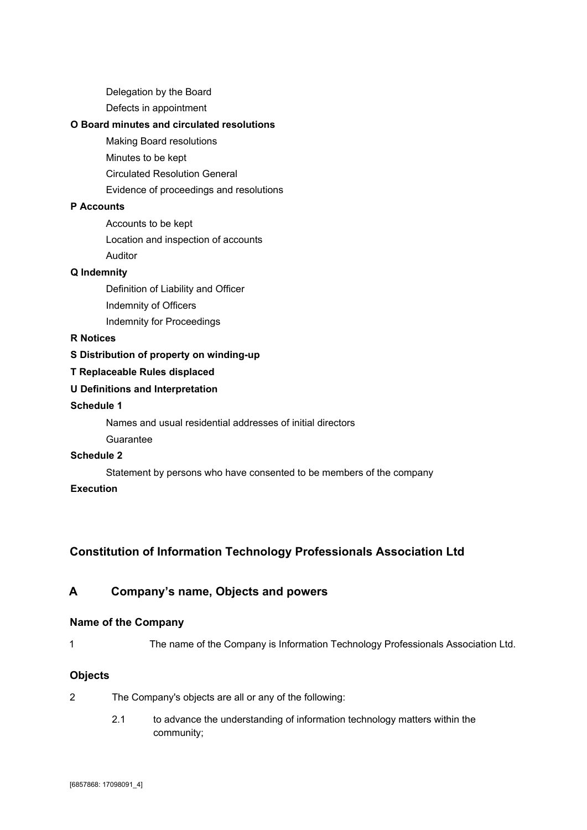[Delegation](#page-19-3) by the Board

Defects in [appointment](#page-19-4)

#### **OBoardminutesandcirculated[resolutions](#page-20-0)**

Making Board [resolutions](#page-20-1) [Minutes](#page-20-2) to be kept

Circulated [Resolution](#page-20-3) General

Evidence of [proceedings](#page-20-4) and resolutions

## **P[Accounts](#page-20-5)**

[Accounts](#page-20-6) to be kept

Location and [inspection](#page-21-0) of accounts

[Auditor](#page-21-1)

## **Q[Indemnity](#page-21-2)**

[Definition](#page-21-3) of Liability and Officer [Indemnity](#page-21-4) of Officers Indemnity for [Proceedings](#page-21-5)

#### **R[Notices](#page-22-0)**

#### **S[Distribution](#page-22-1)ofpropertyonwinding-up**

**T[Replaceable](#page-23-0)Rulesdisplaced**

## **UDefinitionsand[Interpretation](#page-23-1)**

#### **[Schedule](#page-24-0)1**

Names and usual residential [addresses](#page-25-0) of initial directors

[Guarantee](#page-25-1)

## **[Schedule](#page-26-0)2**

Statement by persons who have [consented](#page-26-1) to be members of the company

## **[Execution](#page-27-0)**

# **Constitution of Information Technology Professionals Association Ltd**

## <span id="page-4-0"></span>**A Company's name, Objects and powers**

#### <span id="page-4-1"></span>**Name of the Company**

1 The name of the Company is Information Technology Professionals Association Ltd.

#### <span id="page-4-2"></span>**Objects**

- 2 The Company's objects are all or any of the following:
	- 2.1 to advance the understanding of information technology matters within the community;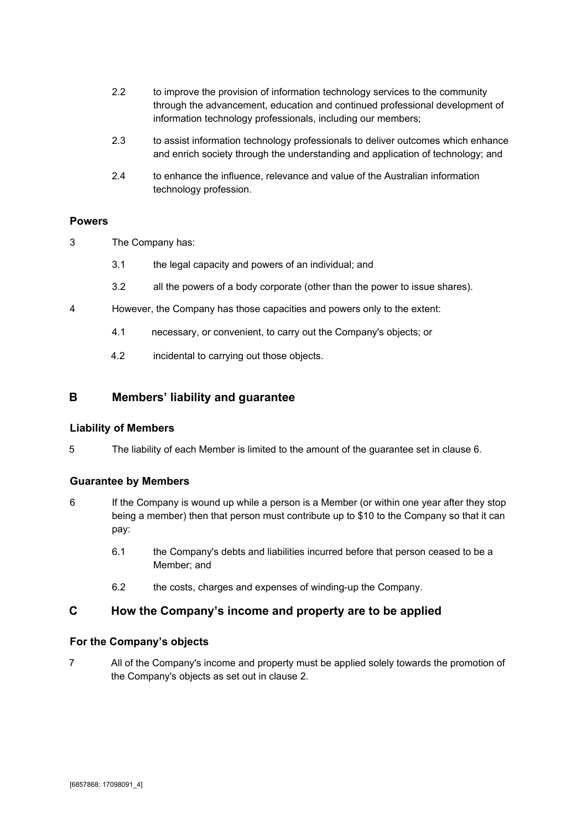- 2.2 to improve the provision of information technology services to the community through the advancement, education and continued professional development of information technology professionals, including our members;
- 2.3 to assist information technology professionals to deliver outcomes which enhance and enrich society through the understanding and application of technology; and
- 2.4 to enhance the influence, relevance and value of the Australian information technology profession.

#### <span id="page-5-0"></span>**Powers**

- 3 The Company has:
	- 3.1 the legal capacity and powers of an individual; and
	- 3.2 all the powers of a body corporate (other than the power to issue shares).
- 4 However, the Company has those capacities and powers only to the extent:
	- 4.1 necessary, or convenient, to carry out the Company's objects; or
	- 4.2 incidental to carrying out those objects.

#### <span id="page-5-1"></span>**B Members' liability and guarantee**

#### <span id="page-5-2"></span>**Liability of Members**

5 The liability of each Member is limited to the amount of the guarantee set in clause 6.

#### <span id="page-5-3"></span>**Guarantee by Members**

- 6 If the Company is wound up while a person is a Member (or within one year after they stop being a member) then that person must contribute up to \$10 to the Company so that it can pay:
	- 6.1 the Company's debts and liabilities incurred before that person ceased to be a Member; and
	- 6.2 the costs, charges and expenses of winding-up the Company.

#### <span id="page-5-4"></span>**C How the Company's income and property are to be applied**

#### <span id="page-5-5"></span>**For the Company's objects**

7 All of the Company's income and property must be applied solely towards the promotion of the Company's objects as set out in clause 2.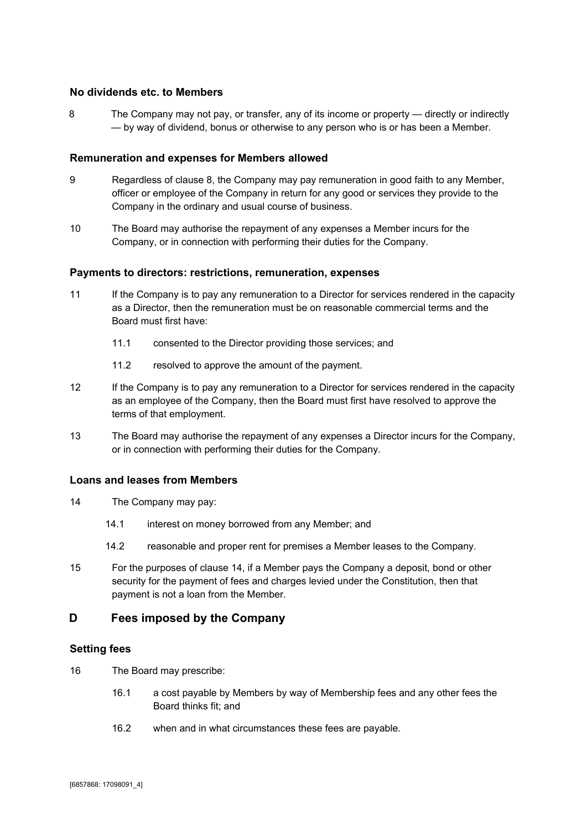#### <span id="page-6-0"></span>**No dividends etc. to Members**

8 The Company may not pay, or transfer, any of its income or property — directly or indirectly — by way of dividend, bonus or otherwise to any person who is or has been a Member.

#### <span id="page-6-1"></span>**Remuneration and expenses for Members allowed**

- 9 Regardless of clause 8, the Company may pay remuneration in good faith to any Member, officer or employee of the Company in return for any good or services they provide to the Company in the ordinary and usual course of business.
- 10 The Board may authorise the repayment of any expenses a Member incurs for the Company, or in connection with performing their duties for the Company.

#### <span id="page-6-2"></span>**Payments to directors: restrictions, remuneration, expenses**

- 11 If the Company is to pay any remuneration to a Director for services rendered in the capacity as a Director, then the remuneration must be on reasonable commercial terms and the Board must first have:
	- 11.1 consented to the Director providing those services; and
	- 11.2 resolved to approve the amount of the payment.
- 12 If the Company is to pay any remuneration to a Director for services rendered in the capacity as an employee of the Company, then the Board must first have resolved to approve the terms of that employment.
- 13 The Board may authorise the repayment of any expenses a Director incurs for the Company, or in connection with performing their duties for the Company.

#### <span id="page-6-3"></span>**Loans and leases from Members**

- 14 The Company may pay:
	- 14.1 interest on money borrowed from any Member; and
	- 14.2 reasonable and proper rent for premises a Member leases to the Company.
- 15 For the purposes of clause 14, if a Member pays the Company a deposit, bond or other security for the payment of fees and charges levied under the Constitution, then that payment is not a loan from the Member.

## <span id="page-6-4"></span>**D Fees imposed by the Company**

#### <span id="page-6-5"></span>**Setting fees**

- 16 The Board may prescribe:
	- 16.1 a cost payable by Members by way of Membership fees and any other fees the Board thinks fit; and
	- 16.2 when and in what circumstances these fees are payable.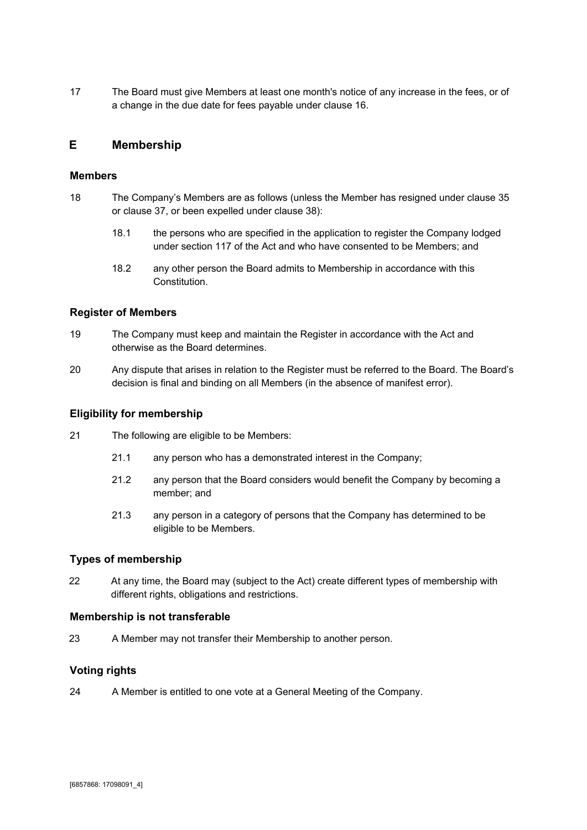17 The Board must give Members at least one month's notice of any increase in the fees, or of a change in the due date for fees payable under clause 16.

## <span id="page-7-0"></span>**E Membership**

#### <span id="page-7-1"></span>**Members**

- 18 The Company's Members are as follows (unless the Member has resigned under clause 35 or clause 37, or been expelled under clause 38):
	- 18.1 the persons who are specified in the application to register the Company lodged under section 117 of the Act and who have consented to be Members; and
	- 18.2 any other person the Board admits to Membership in accordance with this **Constitution**

#### <span id="page-7-2"></span>**Register of Members**

- 19 The Company must keep and maintain the Register in accordance with the Act and otherwise as the Board determines.
- 20 Any dispute that arises in relation to the Register must be referred to the Board. The Board's decision is final and binding on all Members (in the absence of manifest error).

#### <span id="page-7-3"></span>**Eligibility for membership**

- 21 The following are eligible to be Members:
	- 21.1 any person who has a demonstrated interest in the Company;
	- 21.2 any person that the Board considers would benefit the Company by becoming a member; and
	- 21.3 any person in a category of persons that the Company has determined to be eligible to be Members.

#### <span id="page-7-4"></span>**Types of membership**

22 At any time, the Board may (subject to the Act) create different types of membership with different rights, obligations and restrictions.

#### <span id="page-7-5"></span>**Membership is not transferable**

23 A Member may not transfer their Membership to another person.

#### <span id="page-7-6"></span>**Voting rights**

24 A Member is entitled to one vote at a General Meeting of the Company.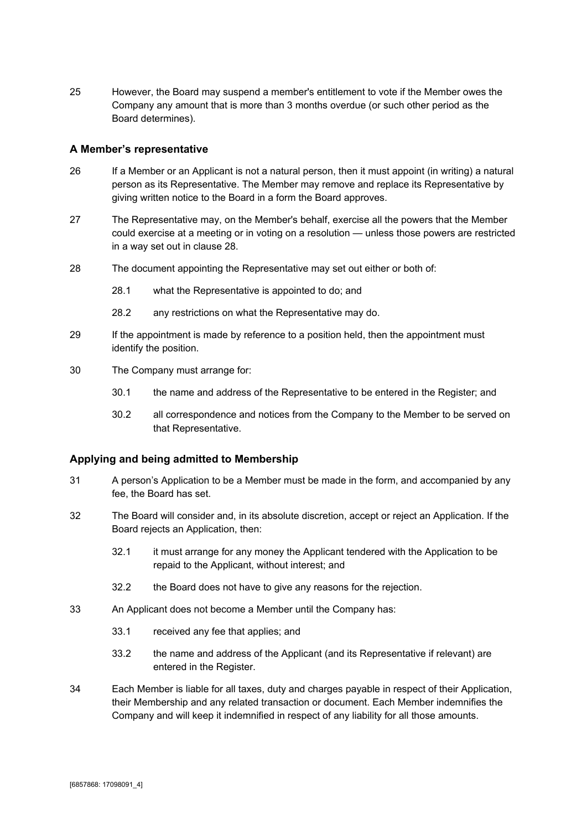25 However, the Board may suspend a member's entitlement to vote if the Member owes the Company any amount that is more than 3 months overdue (or such other period as the Board determines).

#### <span id="page-8-0"></span>**A Member's representative**

- 26 If a Member or an Applicant is not a natural person, then it must appoint (in writing) a natural person as its Representative. The Member may remove and replace its Representative by giving written notice to the Board in a form the Board approves.
- 27 The Representative may, on the Member's behalf, exercise all the powers that the Member could exercise at a meeting or in voting on a resolution — unless those powers are restricted in a way set out in clause 28.
- 28 The document appointing the Representative may set out either or both of:
	- 28.1 what the Representative is appointed to do; and
	- 28.2 any restrictions on what the Representative may do.
- 29 If the appointment is made by reference to a position held, then the appointment must identify the position.
- 30 The Company must arrange for:
	- 30.1 the name and address of the Representative to be entered in the Register; and
	- 30.2 all correspondence and notices from the Company to the Member to be served on that Representative.

#### <span id="page-8-1"></span>**Applying and being admitted to Membership**

- 31 A person's Application to be a Member must be made in the form, and accompanied by any fee, the Board has set.
- 32 The Board will consider and, in its absolute discretion, accept or reject an Application. If the Board rejects an Application, then:
	- 32.1 it must arrange for any money the Applicant tendered with the Application to be repaid to the Applicant, without interest; and
	- 32.2 the Board does not have to give any reasons for the rejection.
- 33 An Applicant does not become a Member until the Company has:
	- 33.1 received any fee that applies; and
	- 33.2 the name and address of the Applicant (and its Representative if relevant) are entered in the Register.
- 34 Each Member is liable for all taxes, duty and charges payable in respect of their Application, their Membership and any related transaction or document. Each Member indemnifies the Company and will keep it indemnified in respect of any liability for all those amounts.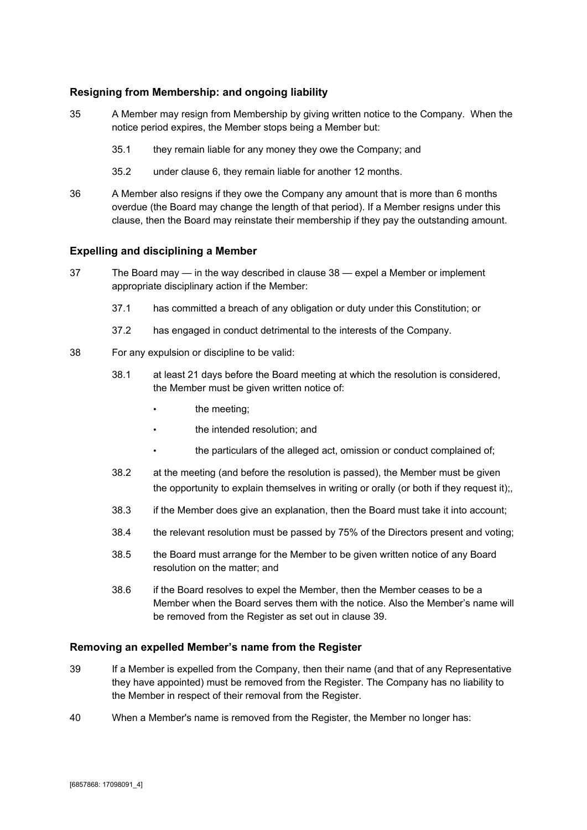## <span id="page-9-0"></span>**Resigning from Membership: and ongoing liability**

- 35 A Member may resign from Membership by giving written notice to the Company. When the notice period expires, the Member stops being a Member but:
	- 35.1 they remain liable for any money they owe the Company; and
	- 35.2 under clause 6, they remain liable for another 12 months.
- 36 A Member also resigns if they owe the Company any amount that is more than 6 months overdue (the Board may change the length of that period). If a Member resigns under this clause, then the Board may reinstate their membership if they pay the outstanding amount.

#### <span id="page-9-1"></span>**Expelling and disciplining a Member**

- 37 The Board may in the way described in clause 38 expel a Member or implement appropriate disciplinary action if the Member:
	- 37.1 has committed a breach of any obligation or duty under this Constitution; or
	- 37.2 has engaged in conduct detrimental to the interests of the Company.
- 38 For any expulsion or discipline to be valid:
	- 38.1 at least 21 days before the Board meeting at which the resolution is considered, the Member must be given written notice of:
		- the meeting;
		- the intended resolution; and
		- the particulars of the alleged act, omission or conduct complained of;
	- 38.2 at the meeting (and before the resolution is passed), the Member must be given the opportunity to explain themselves in writing or orally (or both if they request it);,
	- 38.3 if the Member does give an explanation, then the Board must take it into account;
	- 38.4 the relevant resolution must be passed by 75% of the Directors present and voting;
	- 38.5 the Board must arrange for the Member to be given written notice of any Board resolution on the matter; and
	- 38.6 if the Board resolves to expel the Member, then the Member ceases to be a Member when the Board serves them with the notice. Also the Member's name will be removed from the Register as set out in clause 39.

#### <span id="page-9-2"></span>**Removing an expelled Member's name from the Register**

- 39 If a Member is expelled from the Company, then their name (and that of any Representative they have appointed) must be removed from the Register. The Company has no liability to the Member in respect of their removal from the Register.
- 40 When a Member's name is removed from the Register, the Member no longer has: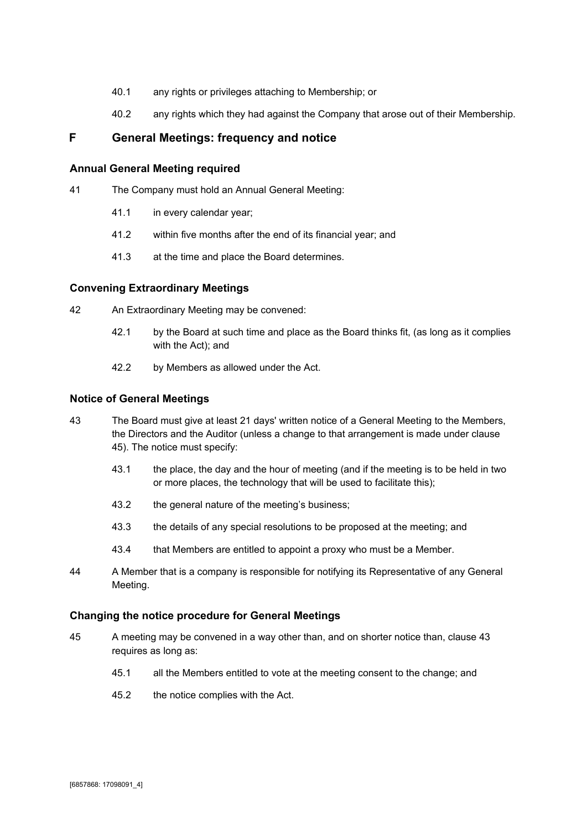- 40.1 any rights or privileges attaching to Membership; or
- 40.2 any rights which they had against the Company that arose out of their Membership.

## <span id="page-10-0"></span>**F General Meetings: frequency and notice**

#### <span id="page-10-1"></span>**Annual General Meeting required**

- 41 The Company must hold an Annual General Meeting:
	- 41.1 in every calendar year;
	- 41.2 within five months after the end of its financial year; and
	- 41.3 at the time and place the Board determines.

#### <span id="page-10-2"></span>**Convening Extraordinary Meetings**

- 42 An Extraordinary Meeting may be convened:
	- 42.1 by the Board at such time and place as the Board thinks fit, (as long as it complies with the Act); and
	- 42.2 by Members as allowed under the Act.

#### <span id="page-10-3"></span>**Notice of General Meetings**

- 43 The Board must give at least 21 days' written notice of a General Meeting to the Members, the Directors and the Auditor (unless a change to that arrangement is made under clause 45). The notice must specify:
	- 43.1 the place, the day and the hour of meeting (and if the meeting is to be held in two or more places, the technology that will be used to facilitate this);
	- 43.2 the general nature of the meeting's business;
	- 43.3 the details of any special resolutions to be proposed at the meeting; and
	- 43.4 that Members are entitled to appoint a proxy who must be a Member.
- 44 A Member that is a company is responsible for notifying its Representative of any General Meeting.

#### <span id="page-10-4"></span>**Changing the notice procedure for General Meetings**

- 45 A meeting may be convened in a way other than, and on shorter notice than, clause 43 requires as long as:
	- 45.1 all the Members entitled to vote at the meeting consent to the change; and
	- 45.2 the notice complies with the Act.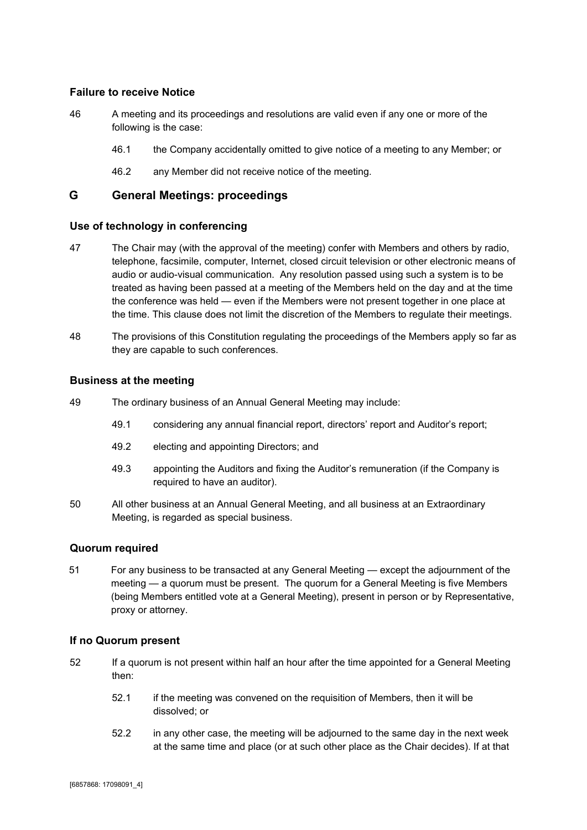#### <span id="page-11-0"></span>**Failure to receive Notice**

- 46 A meeting and its proceedings and resolutions are valid even if any one or more of the following is the case:
	- 46.1 the Company accidentally omitted to give notice of a meeting to any Member; or
	- 46.2 any Member did not receive notice of the meeting.

## <span id="page-11-1"></span>**G General Meetings: proceedings**

#### <span id="page-11-2"></span>**Use of technology in conferencing**

- 47 The Chair may (with the approval of the meeting) confer with Members and others by radio, telephone, facsimile, computer, Internet, closed circuit television or other electronic means of audio or audio-visual communication. Any resolution passed using such a system is to be treated as having been passed at a meeting of the Members held on the day and at the time the conference was held — even if the Members were not present together in one place at the time. This clause does not limit the discretion of the Members to regulate their meetings.
- 48 The provisions of this Constitution regulating the proceedings of the Members apply so far as they are capable to such conferences.

#### <span id="page-11-3"></span>**Business at the meeting**

- 49 The ordinary business of an Annual General Meeting may include:
	- 49.1 considering any annual financial report, directors' report and Auditor's report;
	- 49.2 electing and appointing Directors; and
	- 49.3 appointing the Auditors and fixing the Auditor's remuneration (if the Company is required to have an auditor).
- 50 All other business at an Annual General Meeting, and all business at an Extraordinary Meeting, is regarded as special business.

#### <span id="page-11-4"></span>**Quorum required**

51 For any business to be transacted at any General Meeting — except the adjournment of the meeting — a quorum must be present. The quorum for a General Meeting is five Members (being Members entitled vote at a General Meeting), present in person or by Representative, proxy or attorney.

#### <span id="page-11-5"></span>**If no Quorum present**

- 52 If a quorum is not present within half an hour after the time appointed for a General Meeting then:
	- 52.1 if the meeting was convened on the requisition of Members, then it will be dissolved; or
	- 52.2 in any other case, the meeting will be adjourned to the same day in the next week at the same time and place (or at such other place as the Chair decides). If at that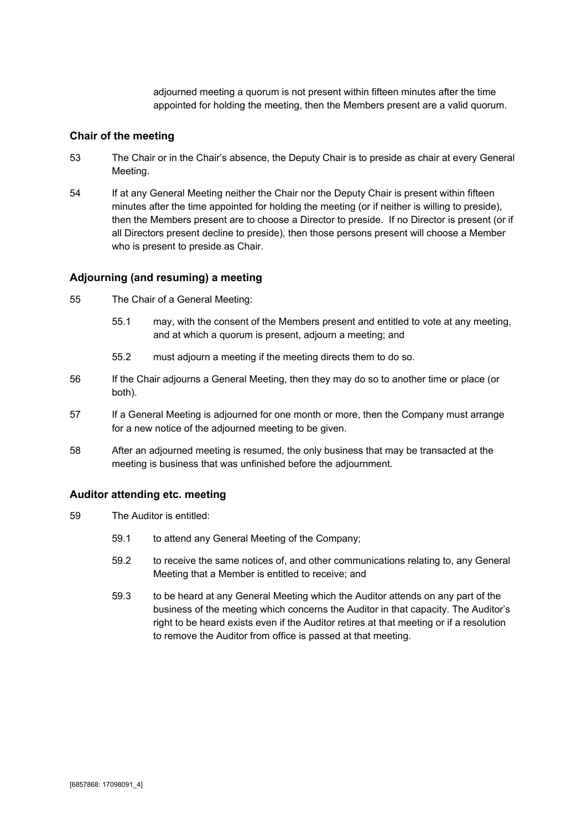adjourned meeting a quorum is not present within fifteen minutes after the time appointed for holding the meeting, then the Members present are a valid quorum.

#### <span id="page-12-0"></span>**Chair of the meeting**

- 53 The Chair or in the Chair's absence, the Deputy Chair is to preside as chair at every General Meeting.
- 54 If at any General Meeting neither the Chair nor the Deputy Chair is present within fifteen minutes after the time appointed for holding the meeting (or if neither is willing to preside), then the Members present are to choose a Director to preside. If no Director is present (or if all Directors present decline to preside), then those persons present will choose a Member who is present to preside as Chair.

#### <span id="page-12-1"></span>**Adjourning (and resuming) a meeting**

- 55 The Chair of a General Meeting:
	- 55.1 may, with the consent of the Members present and entitled to vote at any meeting, and at which a quorum is present, adjourn a meeting; and
	- 55.2 must adjourn a meeting if the meeting directs them to do so.
- 56 If the Chair adjourns a General Meeting, then they may do so to another time or place (or both).
- 57 If a General Meeting is adjourned for one month or more, then the Company must arrange for a new notice of the adjourned meeting to be given.
- 58 After an adjourned meeting is resumed, the only business that may be transacted at the meeting is business that was unfinished before the adjournment.

#### <span id="page-12-2"></span>**Auditor attending etc. meeting**

- 59 The Auditor is entitled:
	- 59.1 to attend any General Meeting of the Company;
	- 59.2 to receive the same notices of, and other communications relating to, any General Meeting that a Member is entitled to receive; and
	- 59.3 to be heard at any General Meeting which the Auditor attends on any part of the business of the meeting which concerns the Auditor in that capacity. The Auditor's right to be heard exists even if the Auditor retires at that meeting or if a resolution to remove the Auditor from office is passed at that meeting.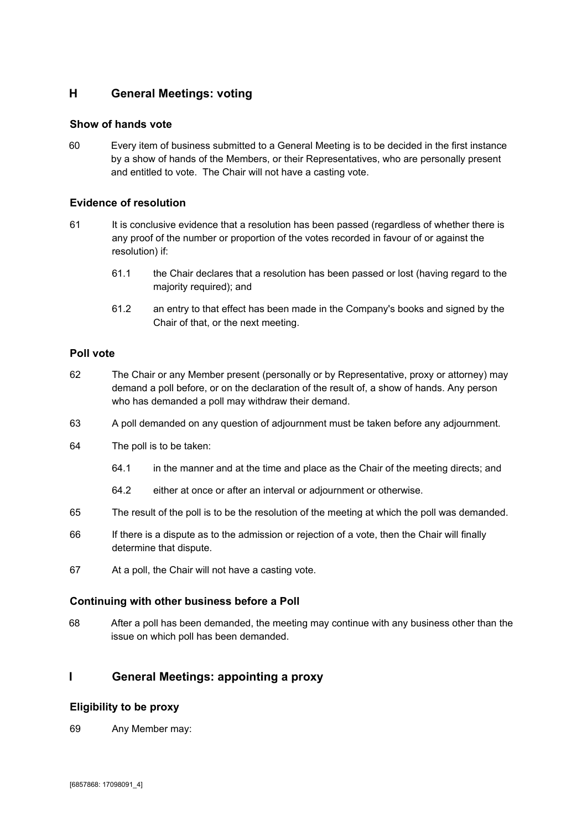## <span id="page-13-0"></span>**H General Meetings: voting**

#### <span id="page-13-1"></span>**Show of hands vote**

60 Every item of business submitted to a General Meeting is to be decided in the first instance by a show of hands of the Members, or their Representatives, who are personally present and entitled to vote. The Chair will not have a casting vote.

#### <span id="page-13-2"></span>**Evidence of resolution**

- 61 It is conclusive evidence that a resolution has been passed (regardless of whether there is any proof of the number or proportion of the votes recorded in favour of or against the resolution) if:
	- 61.1 the Chair declares that a resolution has been passed or lost (having regard to the majority required); and
	- 61.2 an entry to that effect has been made in the Company's books and signed by the Chair of that, or the next meeting.

#### <span id="page-13-3"></span>**Poll vote**

- 62 The Chair or any Member present (personally or by Representative, proxy or attorney) may demand a poll before, or on the declaration of the result of, a show of hands. Any person who has demanded a poll may withdraw their demand.
- 63 A poll demanded on any question of adjournment must be taken before any adjournment.
- 64 The poll is to be taken:
	- 64.1 in the manner and at the time and place as the Chair of the meeting directs; and
	- 64.2 either at once or after an interval or adjournment or otherwise.
- 65 The result of the poll is to be the resolution of the meeting at which the poll was demanded.
- 66 If there is a dispute as to the admission or rejection of a vote, then the Chair will finally determine that dispute.
- 67 At a poll, the Chair will not have a casting vote.

#### <span id="page-13-4"></span>**Continuing with other business before a Poll**

68 After a poll has been demanded, the meeting may continue with any business other than the issue on which poll has been demanded.

## <span id="page-13-5"></span>**I General Meetings: appointing a proxy**

#### <span id="page-13-6"></span>**Eligibility to be proxy**

69 Any Member may: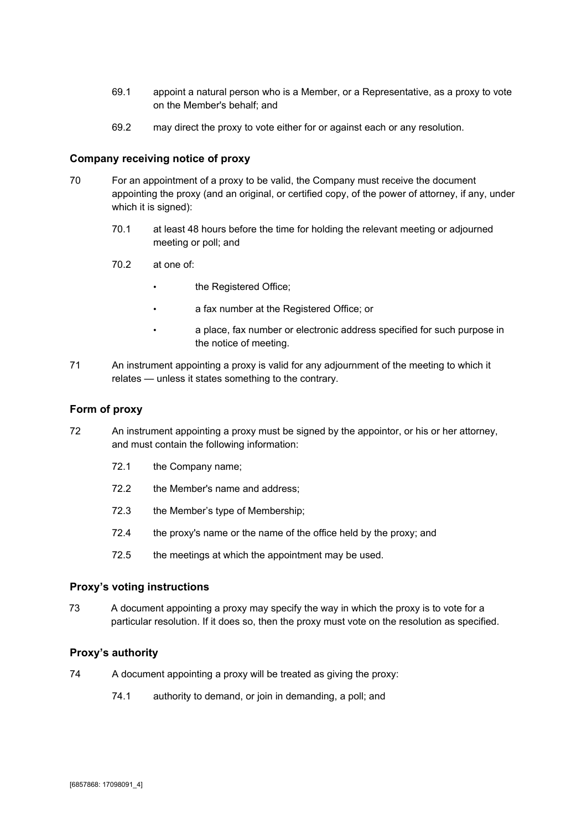- 69.1 appoint a natural person who is a Member, or a Representative, as a proxy to vote on the Member's behalf; and
- 69.2 may direct the proxy to vote either for or against each or any resolution.

#### <span id="page-14-0"></span>**Company receiving notice of proxy**

- 70 For an appointment of a proxy to be valid, the Company must receive the document appointing the proxy (and an original, or certified copy, of the power of attorney, if any, under which it is signed):
	- 70.1 at least 48 hours before the time for holding the relevant meeting or adjourned meeting or poll; and
	- 70.2 at one of:
		- the Registered Office;
		- a fax number at the Registered Office; or
		- a place, fax number or electronic address specified for such purpose in the notice of meeting.
- 71 An instrument appointing a proxy is valid for any adjournment of the meeting to which it relates — unless it states something to the contrary.

#### <span id="page-14-1"></span>**Form of proxy**

- 72 An instrument appointing a proxy must be signed by the appointor, or his or her attorney, and must contain the following information:
	- 72.1 the Company name;
	- 72.2 the Member's name and address;
	- 72.3 the Member's type of Membership;
	- 72.4 the proxy's name or the name of the office held by the proxy; and
	- 72.5 the meetings at which the appointment may be used.

#### <span id="page-14-2"></span>**Proxy's voting instructions**

73 A document appointing a proxy may specify the way in which the proxy is to vote for a particular resolution. If it does so, then the proxy must vote on the resolution as specified.

#### <span id="page-14-3"></span>**Proxy's authority**

- 74 A document appointing a proxy will be treated as giving the proxy:
	- 74.1 authority to demand, or join in demanding, a poll; and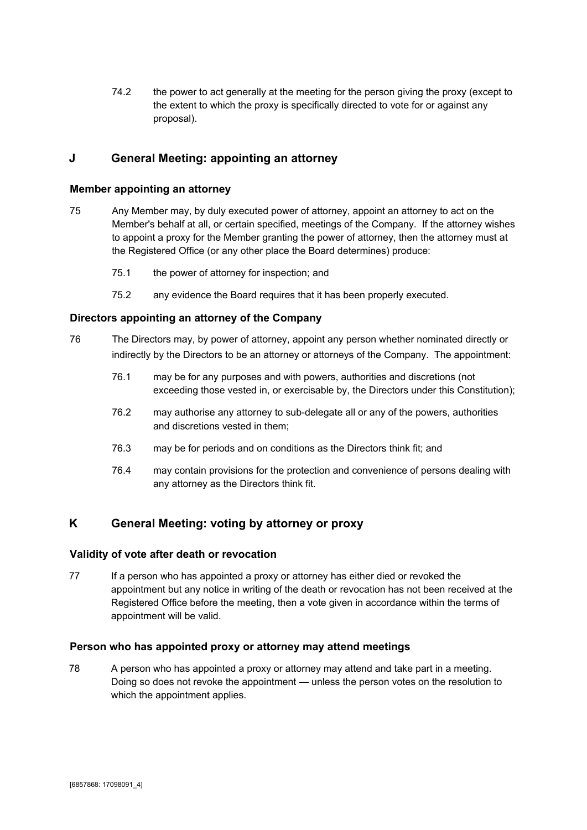74.2 the power to act generally at the meeting for the person giving the proxy (except to the extent to which the proxy is specifically directed to vote for or against any proposal).

## <span id="page-15-0"></span>**J General Meeting: appointing an attorney**

#### <span id="page-15-1"></span>**Member appointing an attorney**

- 75 Any Member may, by duly executed power of attorney, appoint an attorney to act on the Member's behalf at all, or certain specified, meetings of the Company. If the attorney wishes to appoint a proxy for the Member granting the power of attorney, then the attorney must at the Registered Office (or any other place the Board determines) produce:
	- 75.1 the power of attorney for inspection; and
	- 75.2 any evidence the Board requires that it has been properly executed.

#### <span id="page-15-2"></span>**Directors appointing an attorney of the Company**

- 76 The Directors may, by power of attorney, appoint any person whether nominated directly or indirectly by the Directors to be an attorney or attorneys of the Company. The appointment:
	- 76.1 may be for any purposes and with powers, authorities and discretions (not exceeding those vested in, or exercisable by, the Directors under this Constitution);
	- 76.2 may authorise any attorney to sub-delegate all or any of the powers, authorities and discretions vested in them;
	- 76.3 may be for periods and on conditions as the Directors think fit; and
	- 76.4 may contain provisions for the protection and convenience of persons dealing with any attorney as the Directors think fit.

## <span id="page-15-3"></span>**K General Meeting: voting by attorney or proxy**

#### <span id="page-15-4"></span>**Validity of vote after death or revocation**

77 If a person who has appointed a proxy or attorney has either died or revoked the appointment but any notice in writing of the death or revocation has not been received at the Registered Office before the meeting, then a vote given in accordance within the terms of appointment will be valid.

#### <span id="page-15-5"></span>**Person who has appointed proxy or attorney may attend meetings**

78 A person who has appointed a proxy or attorney may attend and take part in a meeting. Doing so does not revoke the appointment — unless the person votes on the resolution to which the appointment applies.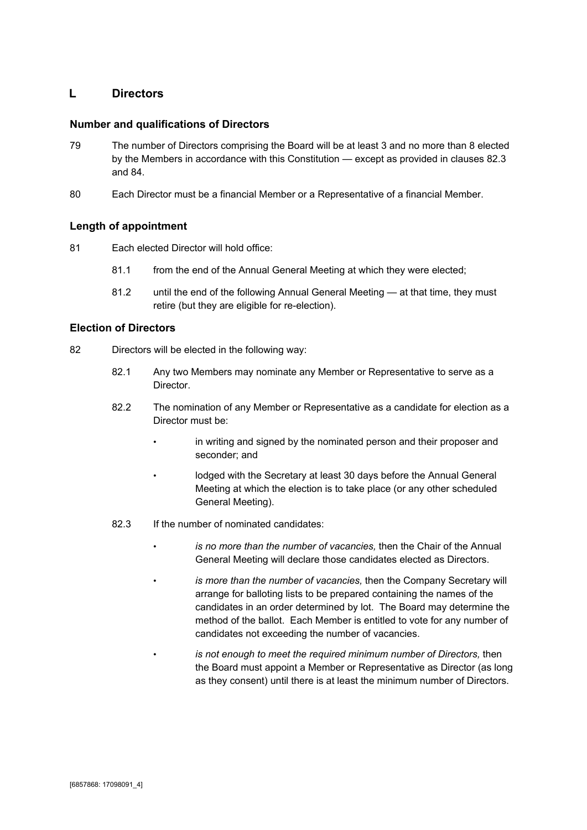## <span id="page-16-0"></span>**L Directors**

#### <span id="page-16-1"></span>**Number and qualifications of Directors**

- 79 The number of Directors comprising the Board will be at least 3 and no more than 8 elected by the Members in accordance with this Constitution — except as provided in clauses 82.3 and 84.
- 80 Each Director must be a financial Member or a Representative of a financial Member.

#### <span id="page-16-2"></span>**Length of appointment**

- 81 Each elected Director will hold office:
	- 81.1 from the end of the Annual General Meeting at which they were elected;
	- 81.2 until the end of the following Annual General Meeting at that time, they must retire (but they are eligible for re-election).

#### <span id="page-16-3"></span>**Election of Directors**

- 82 Directors will be elected in the following way:
	- 82.1 Any two Members may nominate any Member or Representative to serve as a Director.
	- 82.2 The nomination of any Member or Representative as a candidate for election as a Director must be:
		- in writing and signed by the nominated person and their proposer and seconder; and
		- lodged with the Secretary at least 30 days before the Annual General Meeting at which the election is to take place (or any other scheduled General Meeting).
	- 82.3 If the number of nominated candidates:
		- *is no more than the number of vacancies,* then the Chair of the Annual General Meeting will declare those candidates elected as Directors.
		- *is more than the number of vacancies,* then the Company Secretary will arrange for balloting lists to be prepared containing the names of the candidates in an order determined by lot. The Board may determine the method of the ballot. Each Member is entitled to vote for any number of candidates not exceeding the number of vacancies.
		- *is not enough to meet the required minimum number of Directors,* then the Board must appoint a Member or Representative as Director (as long as they consent) until there is at least the minimum number of Directors.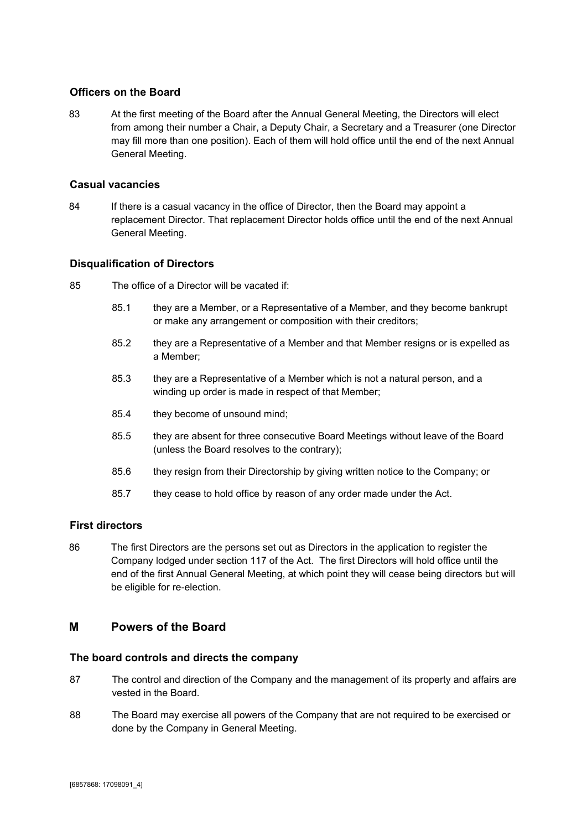#### <span id="page-17-0"></span>**Officers on the Board**

83 At the first meeting of the Board after the Annual General Meeting, the Directors will elect from among their number a Chair, a Deputy Chair, a Secretary and a Treasurer (one Director may fill more than one position). Each of them will hold office until the end of the next Annual General Meeting.

#### <span id="page-17-1"></span>**Casual vacancies**

84 If there is a casual vacancy in the office of Director, then the Board may appoint a replacement Director. That replacement Director holds office until the end of the next Annual General Meeting.

#### <span id="page-17-2"></span>**Disqualification of Directors**

- 85 The office of a Director will be vacated if:
	- 85.1 they are a Member, or a Representative of a Member, and they become bankrupt or make any arrangement or composition with their creditors;
	- 85.2 they are a Representative of a Member and that Member resigns or is expelled as a Member;
	- 85.3 they are a Representative of a Member which is not a natural person, and a winding up order is made in respect of that Member;
	- 85.4 they become of unsound mind;
	- 85.5 they are absent for three consecutive Board Meetings without leave of the Board (unless the Board resolves to the contrary);
	- 85.6 they resign from their Directorship by giving written notice to the Company; or
	- 85.7 they cease to hold office by reason of any order made under the Act.

#### <span id="page-17-3"></span>**First directors**

86 The first Directors are the persons set out as Directors in the application to register the Company lodged under section 117 of the Act. The first Directors will hold office until the end of the first Annual General Meeting, at which point they will cease being directors but will be eligible for re-election.

#### <span id="page-17-4"></span>**M Powers of the Board**

#### <span id="page-17-5"></span>**The board controls and directs the company**

- 87 The control and direction of the Company and the management of its property and affairs are vested in the Board.
- 88 The Board may exercise all powers of the Company that are not required to be exercised or done by the Company in General Meeting.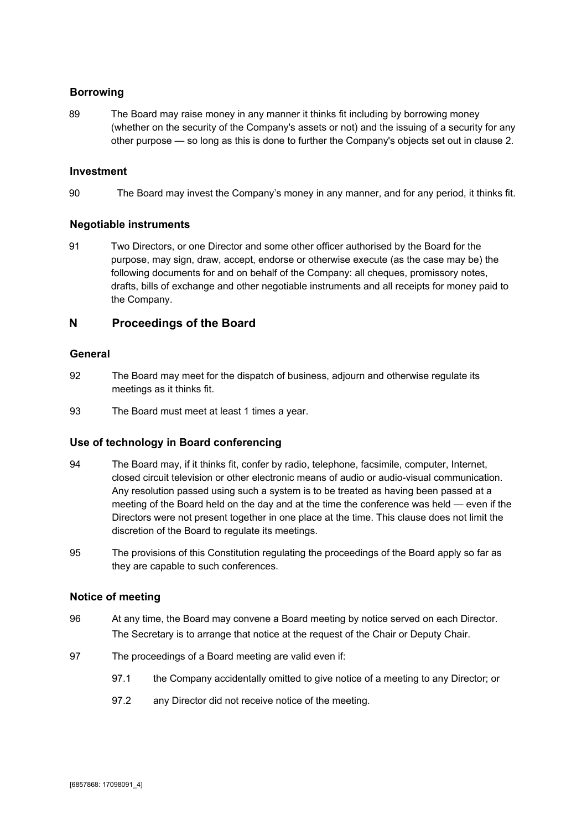## <span id="page-18-0"></span>**Borrowing**

89 The Board may raise money in any manner it thinks fit including by borrowing money (whether on the security of the Company's assets or not) and the issuing of a security for any other purpose — so long as this is done to further the Company's objects set out in clause 2.

#### <span id="page-18-1"></span>**Investment**

90 The Board may invest the Company's money in any manner, and for any period, it thinks fit.

#### <span id="page-18-2"></span>**Negotiable instruments**

91 Two Directors, or one Director and some other officer authorised by the Board for the purpose, may sign, draw, accept, endorse or otherwise execute (as the case may be) the following documents for and on behalf of the Company: all cheques, promissory notes, drafts, bills of exchange and other negotiable instruments and all receipts for money paid to the Company.

## <span id="page-18-3"></span>**N Proceedings of the Board**

#### <span id="page-18-4"></span>**General**

- 92 The Board may meet for the dispatch of business, adjourn and otherwise regulate its meetings as it thinks fit.
- 93 The Board must meet at least 1 times a year.

#### <span id="page-18-5"></span>**Use of technology in Board conferencing**

- 94 The Board may, if it thinks fit, confer by radio, telephone, facsimile, computer, Internet, closed circuit television or other electronic means of audio or audio-visual communication. Any resolution passed using such a system is to be treated as having been passed at a meeting of the Board held on the day and at the time the conference was held — even if the Directors were not present together in one place at the time. This clause does not limit the discretion of the Board to regulate its meetings.
- 95 The provisions of this Constitution regulating the proceedings of the Board apply so far as they are capable to such conferences.

#### <span id="page-18-6"></span>**Notice of meeting**

- 96 At any time, the Board may convene a Board meeting by notice served on each Director. The Secretary is to arrange that notice at the request of the Chair or Deputy Chair.
- 97 The proceedings of a Board meeting are valid even if:
	- 97.1 the Company accidentally omitted to give notice of a meeting to any Director; or
	- 97.2 any Director did not receive notice of the meeting.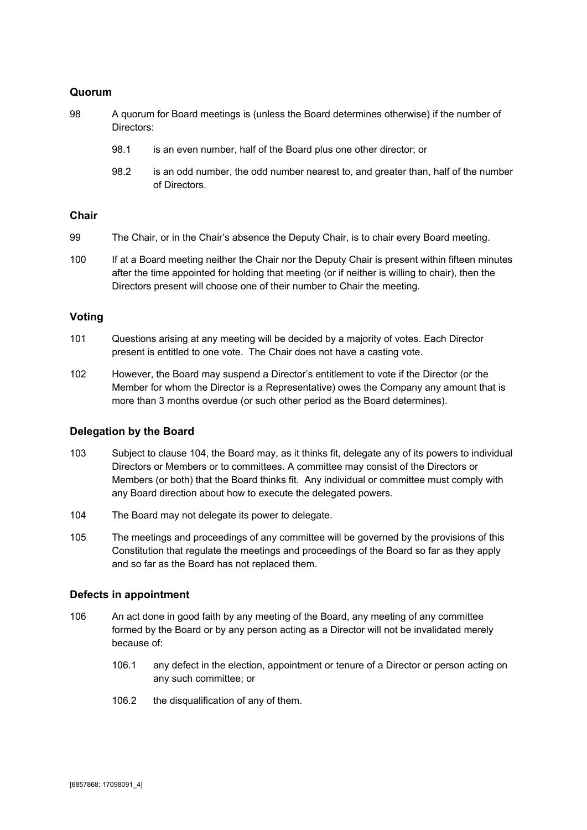#### <span id="page-19-0"></span>**Quorum**

- 98 A quorum for Board meetings is (unless the Board determines otherwise) if the number of Directors:
	- 98.1 is an even number, half of the Board plus one other director; or
	- 98.2 is an odd number, the odd number nearest to, and greater than, half of the number of Directors.

#### <span id="page-19-1"></span>**Chair**

- 99 The Chair, or in the Chair's absence the Deputy Chair, is to chair every Board meeting.
- 100 If at a Board meeting neither the Chair nor the Deputy Chair is present within fifteen minutes after the time appointed for holding that meeting (or if neither is willing to chair), then the Directors present will choose one of their number to Chair the meeting.

#### <span id="page-19-2"></span>**Voting**

- 101 Questions arising at any meeting will be decided by a majority of votes. Each Director present is entitled to one vote. The Chair does not have a casting vote.
- 102 However, the Board may suspend a Director's entitlement to vote if the Director (or the Member for whom the Director is a Representative) owes the Company any amount that is more than 3 months overdue (or such other period as the Board determines).

#### <span id="page-19-3"></span>**Delegation by the Board**

- 103 Subject to clause 104, the Board may, as it thinks fit, delegate any of its powers to individual Directors or Members or to committees. A committee may consist of the Directors or Members (or both) that the Board thinks fit. Any individual or committee must comply with any Board direction about how to execute the delegated powers.
- 104 The Board may not delegate its power to delegate.
- 105 The meetings and proceedings of any committee will be governed by the provisions of this Constitution that regulate the meetings and proceedings of the Board so far as they apply and so far as the Board has not replaced them.

#### <span id="page-19-4"></span>**Defects in appointment**

- 106 An act done in good faith by any meeting of the Board, any meeting of any committee formed by the Board or by any person acting as a Director will not be invalidated merely because of:
	- 106.1 any defect in the election, appointment or tenure of a Director or person acting on any such committee; or
	- 106.2 the disqualification of any of them.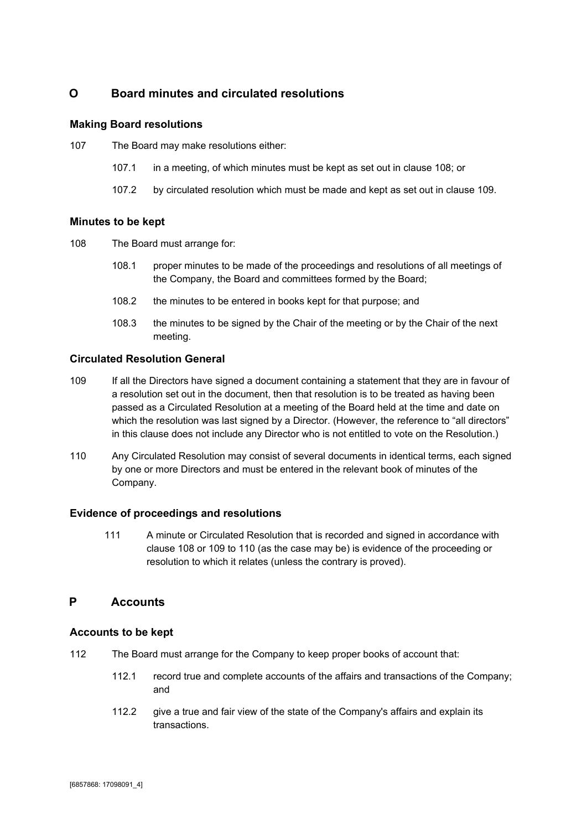## <span id="page-20-0"></span>**O Board minutes and circulated resolutions**

#### <span id="page-20-1"></span>**Making Board resolutions**

107 The Board may make resolutions either:

- 107.1 in a meeting, of which minutes must be kept as set out in clause 108; or
- 107.2 by circulated resolution which must be made and kept as set out in clause 109.

#### <span id="page-20-2"></span>**Minutes to be kept**

- 108 The Board must arrange for:
	- 108.1 proper minutes to be made of the proceedings and resolutions of all meetings of the Company, the Board and committees formed by the Board;
	- 108.2 the minutes to be entered in books kept for that purpose; and
	- 108.3 the minutes to be signed by the Chair of the meeting or by the Chair of the next meeting.

#### <span id="page-20-3"></span>**Circulated Resolution General**

- 109 If all the Directors have signed a document containing a statement that they are in favour of a resolution set out in the document, then that resolution is to be treated as having been passed as a Circulated Resolution at a meeting of the Board held at the time and date on which the resolution was last signed by a Director. (However, the reference to "all directors" in this clause does not include any Director who is not entitled to vote on the Resolution.)
- 110 Any Circulated Resolution may consist of several documents in identical terms, each signed by one or more Directors and must be entered in the relevant book of minutes of the Company.

#### <span id="page-20-4"></span>**Evidence of proceedings and resolutions**

111 A minute or Circulated Resolution that is recorded and signed in accordance with clause 108 or 109 to 110 (as the case may be) is evidence of the proceeding or resolution to which it relates (unless the contrary is proved).

## <span id="page-20-5"></span>**P Accounts**

#### <span id="page-20-6"></span>**Accounts to be kept**

- 112 The Board must arrange for the Company to keep proper books of account that:
	- 112.1 record true and complete accounts of the affairs and transactions of the Company; and
	- 112.2 give a true and fair view of the state of the Company's affairs and explain its transactions.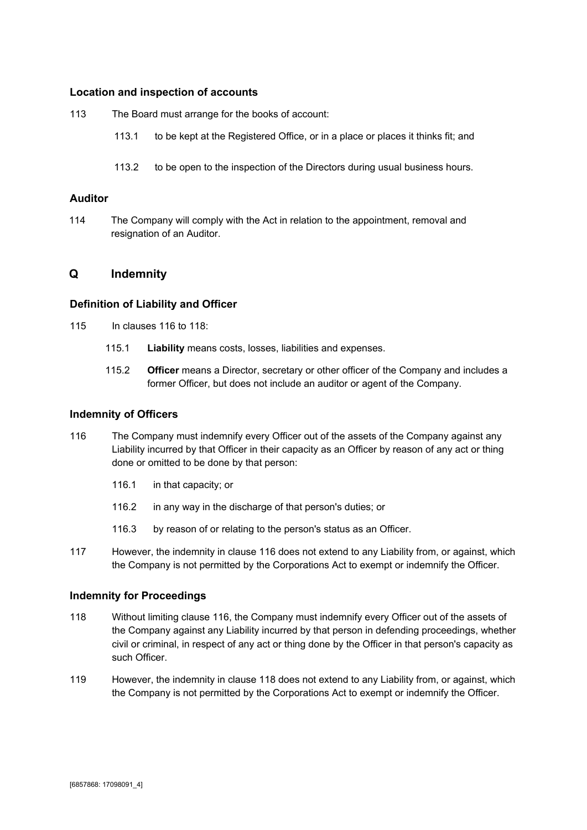#### <span id="page-21-0"></span>**Location and inspection of accounts**

113 The Board must arrange for the books of account:

- 113.1 to be kept at the Registered Office, or in a place or places it thinks fit; and
- 113.2 to be open to the inspection of the Directors during usual business hours.

#### <span id="page-21-1"></span>**Auditor**

114 The Company will comply with the Act in relation to the appointment, removal and resignation of an Auditor.

#### <span id="page-21-2"></span>**Q Indemnity**

#### <span id="page-21-3"></span>**Definition of Liability and Officer**

- 115 In clauses 116 to 118:
	- 115.1 **Liability**means costs, losses, liabilities and expenses.
	- 115.2 **Officer**means a Director, secretary or other officer of the Company and includes a former Officer, but does not include an auditor or agent of the Company.

#### <span id="page-21-4"></span>**Indemnity of Officers**

- 116 The Company must indemnify every Officer out of the assets of the Company against any Liability incurred by that Officer in their capacity as an Officer by reason of any act or thing done or omitted to be done by that person:
	- 116.1 in that capacity; or
	- 116.2 in any way in the discharge of that person's duties; or
	- 116.3 by reason of or relating to the person's status as an Officer.
- 117 However, the indemnity in clause 116 does not extend to any Liability from, or against, which the Company is not permitted by the Corporations Act to exempt or indemnify the Officer.

#### <span id="page-21-5"></span>**Indemnity for Proceedings**

- 118 Without limiting clause 116, the Company must indemnify every Officer out of the assets of the Company against any Liability incurred by that person in defending proceedings, whether civil or criminal, in respect of any act or thing done by the Officer in that person's capacity as such Officer.
- 119 However, the indemnity in clause 118 does not extend to any Liability from, or against, which the Company is not permitted by the Corporations Act to exempt or indemnify the Officer.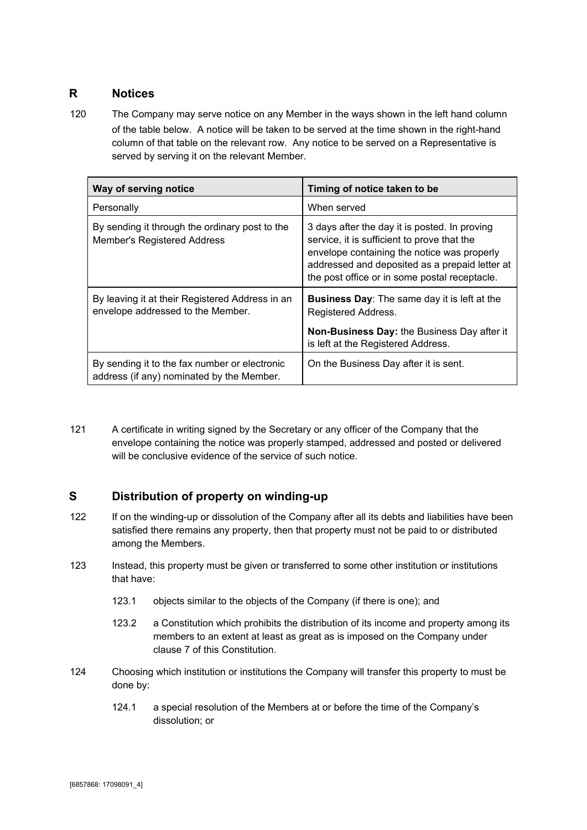## <span id="page-22-0"></span>**R Notices**

120 The Company may serve notice on any Member in the ways shown in the left hand column of the table below. A notice will be taken to be served at the time shown in the right-hand column of that table on the relevant row. Any notice to be served on a Representative is served by serving it on the relevant Member.

| Way of serving notice                                                                      | Timing of notice taken to be                                                                                                                                                                                                                   |
|--------------------------------------------------------------------------------------------|------------------------------------------------------------------------------------------------------------------------------------------------------------------------------------------------------------------------------------------------|
| Personally                                                                                 | When served                                                                                                                                                                                                                                    |
| By sending it through the ordinary post to the<br><b>Member's Registered Address</b>       | 3 days after the day it is posted. In proving<br>service, it is sufficient to prove that the<br>envelope containing the notice was properly<br>addressed and deposited as a prepaid letter at<br>the post office or in some postal receptacle. |
| By leaving it at their Registered Address in an<br>envelope addressed to the Member.       | <b>Business Day:</b> The same day it is left at the<br>Registered Address.                                                                                                                                                                     |
|                                                                                            | <b>Non-Business Day: the Business Day after it</b><br>is left at the Registered Address.                                                                                                                                                       |
| By sending it to the fax number or electronic<br>address (if any) nominated by the Member. | On the Business Day after it is sent.                                                                                                                                                                                                          |

121 A certificate in writing signed by the Secretary or any officer of the Company that the envelope containing the notice was properly stamped, addressed and posted or delivered will be conclusive evidence of the service of such notice.

## <span id="page-22-1"></span>**S Distribution of property on winding-up**

- 122 If on the winding-up or dissolution of the Company after all its debts and liabilities have been satisfied there remains any property, then that property must not be paid to or distributed among the Members.
- 123 Instead, this property must be given or transferred to some other institution or institutions that have:
	- 123.1 objects similar to the objects of the Company (if there is one); and
	- 123.2 a Constitution which prohibits the distribution of its income and property among its members to an extent at least as great as is imposed on the Company under clause 7 of this Constitution.
- 124 Choosing which institution or institutions the Company will transfer this property to must be done by:
	- 124.1 a special resolution of the Members at or before the time of the Company's dissolution; or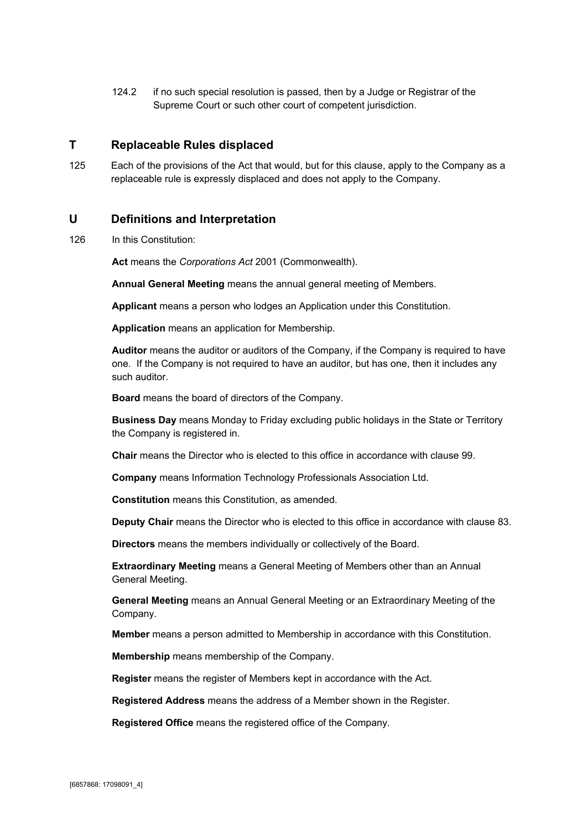124.2 if no such special resolution is passed, then by a Judge or Registrar of the Supreme Court or such other court of competent jurisdiction.

## <span id="page-23-0"></span>**T Replaceable Rules displaced**

125 Each of the provisions of the Act that would, but for this clause, apply to the Company as a replaceable rule is expressly displaced and does not apply to the Company.

#### <span id="page-23-1"></span>**U Definitions and Interpretation**

126 In this Constitution:

**Act**means the *Corporations Act* 2001 (Commonwealth).

**AnnualGeneralMeeting**means the annual general meeting of Members.

**Applicant**means a person who lodges an Application under this Constitution.

**Application**means an application for Membership.

**Auditor**means the auditor or auditors of the Company, if the Company is required to have one. If the Company is not required to have an auditor, but has one, then it includes any such auditor.

**Board**means the board of directors of the Company.

**BusinessDay**means Monday to Friday excluding public holidays in the State or Territory the Company is registered in.

**Chair**means the Director who is elected to this office in accordance with clause 99.

**Company**means Information Technology Professionals Association Ltd.

**Constitution** means this Constitution, as amended.

**DeputyChair**means the Director who is elected to this office in accordance with clause 83.

**Directors** means the members individually or collectively of the Board.

**Extraordinary Meeting** means a General Meeting of Members other than an Annual General Meeting.

**GeneralMeeting**means an Annual General Meeting or an Extraordinary Meeting of the Company.

**Member**means a person admitted to Membership in accordance with this Constitution.

**Membership** means membership of the Company.

**Register**means the register of Members kept in accordance with the Act.

**RegisteredAddress**means the address of a Member shown in the Register.

**RegisteredOffice**means the registered office of the Company.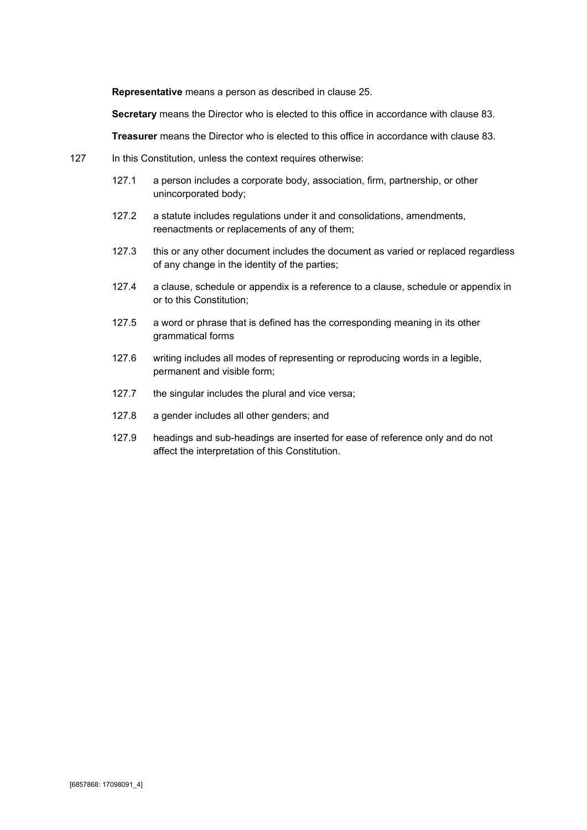**Representative** means a person as described in clause 25.

**Secretary**means the Director who is elected to this office in accordance with clause 83.

**Treasurer**means the Director who is elected to this office in accordance with clause 83.

- <span id="page-24-0"></span>127 In this Constitution, unless the context requires otherwise:
	- 127.1 a person includes a corporate body, association, firm, partnership, or other unincorporated body;
	- 127.2 a statute includes regulations under it and consolidations, amendments, reenactments or replacements of any of them;
	- 127.3 this or any other document includes the document as varied or replaced regardless of any change in the identity of the parties;
	- 127.4 a clause, schedule or appendix is a reference to a clause, schedule or appendix in or to this Constitution;
	- 127.5 a word or phrase that is defined has the corresponding meaning in its other grammatical forms
	- 127.6 writing includes all modes of representing or reproducing words in a legible, permanent and visible form;
	- 127.7 the singular includes the plural and vice versa;
	- 127.8 a gender includes all other genders; and
	- 127.9 headings and sub-headings are inserted for ease of reference only and do not affect the interpretation of this Constitution.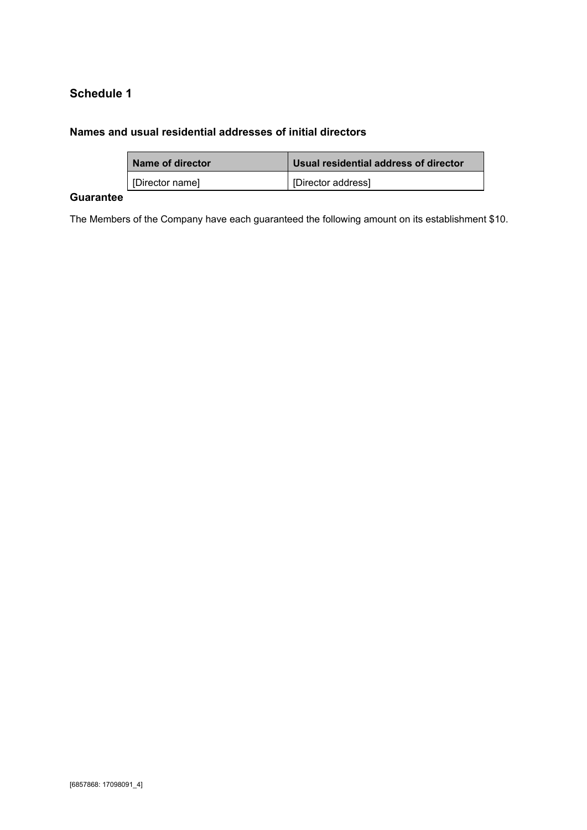# **Schedule 1**

## <span id="page-25-0"></span>**Names and usual residential addresses of initial directors**

| Name of director | Usual residential address of director |
|------------------|---------------------------------------|
| [Director name]  | [Director address]                    |

## <span id="page-25-1"></span>**Guarantee**

The Members of the Company have each guaranteed the following amount on its establishment \$10.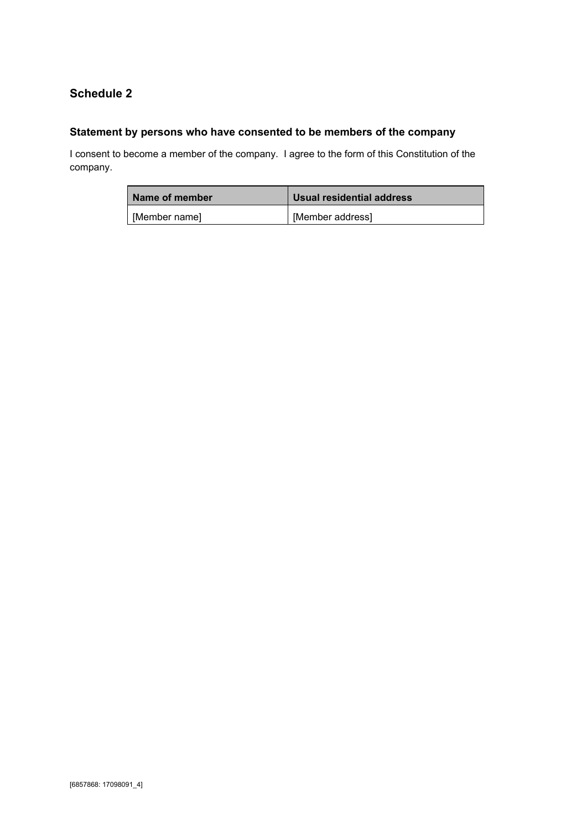# <span id="page-26-0"></span>**Schedule 2**

# <span id="page-26-1"></span>**Statement by persons who have consented to be members of the company**

I consent to become a member of the company. I agree to the form of this Constitution of the company.

| Name of member | Usual residential address |
|----------------|---------------------------|
| [Member name]  | [Member address]          |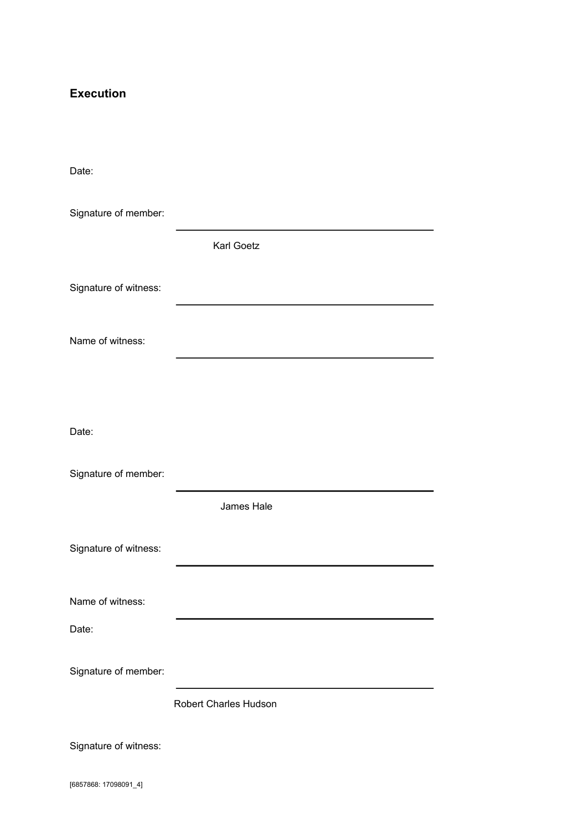# <span id="page-27-0"></span>**Execution**

| Date:                 |                       |
|-----------------------|-----------------------|
| Signature of member:  |                       |
|                       | Karl Goetz            |
| Signature of witness: |                       |
| Name of witness:      |                       |
|                       |                       |
| Date:                 |                       |
| Signature of member:  |                       |
|                       | James Hale            |
| Signature of witness: |                       |
| Name of witness:      |                       |
| Date:                 |                       |
| Signature of member:  |                       |
|                       | Robert Charles Hudson |
| Signature of witness: |                       |